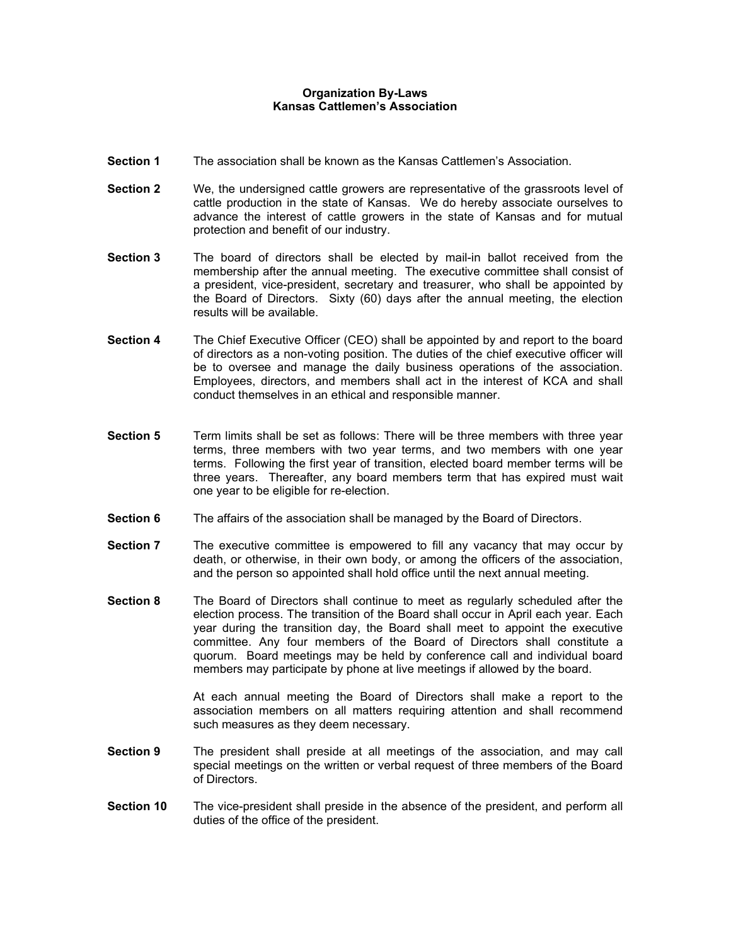## **Organization By-Laws Kansas Cattlemen's Association**

- **Section 1** The association shall be known as the Kansas Cattlemen's Association.
- **Section 2** We, the undersigned cattle growers are representative of the grassroots level of cattle production in the state of Kansas. We do hereby associate ourselves to advance the interest of cattle growers in the state of Kansas and for mutual protection and benefit of our industry.
- **Section 3** The board of directors shall be elected by mail-in ballot received from the membership after the annual meeting. The executive committee shall consist of a president, vice-president, secretary and treasurer, who shall be appointed by the Board of Directors. Sixty (60) days after the annual meeting, the election results will be available.
- **Section 4** The Chief Executive Officer (CEO) shall be appointed by and report to the board of directors as a non-voting position. The duties of the chief executive officer will be to oversee and manage the daily business operations of the association. Employees, directors, and members shall act in the interest of KCA and shall conduct themselves in an ethical and responsible manner.
- **Section 5** Term limits shall be set as follows: There will be three members with three year terms, three members with two year terms, and two members with one year terms. Following the first year of transition, elected board member terms will be three years. Thereafter, any board members term that has expired must wait one year to be eligible for re-election.
- **Section 6** The affairs of the association shall be managed by the Board of Directors.
- **Section 7** The executive committee is empowered to fill any vacancy that may occur by death, or otherwise, in their own body, or among the officers of the association, and the person so appointed shall hold office until the next annual meeting.
- **Section 8** The Board of Directors shall continue to meet as regularly scheduled after the election process. The transition of the Board shall occur in April each year. Each year during the transition day, the Board shall meet to appoint the executive committee. Any four members of the Board of Directors shall constitute a quorum. Board meetings may be held by conference call and individual board members may participate by phone at live meetings if allowed by the board.

At each annual meeting the Board of Directors shall make a report to the association members on all matters requiring attention and shall recommend such measures as they deem necessary.

- **Section 9** The president shall preside at all meetings of the association, and may call special meetings on the written or verbal request of three members of the Board of Directors.
- **Section 10** The vice-president shall preside in the absence of the president, and perform all duties of the office of the president.